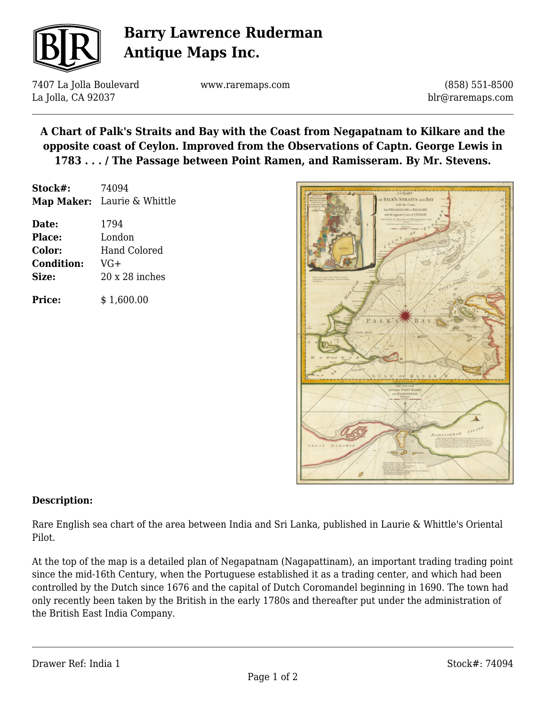

# **Barry Lawrence Ruderman Antique Maps Inc.**

7407 La Jolla Boulevard La Jolla, CA 92037

www.raremaps.com

(858) 551-8500 blr@raremaps.com

**A Chart of Palk's Straits and Bay with the Coast from Negapatnam to Kilkare and the opposite coast of Ceylon. Improved from the Observations of Captn. George Lewis in 1783 . . . / The Passage between Point Ramen, and Ramisseram. By Mr. Stevens.**

| Stock#: | 74094                       |
|---------|-----------------------------|
|         | Map Maker: Laurie & Whittle |

| Date:             | 1794                  |
|-------------------|-----------------------|
| <b>Place:</b>     | London                |
| Color:            | <b>Hand Colored</b>   |
| <b>Condition:</b> | $VG+$                 |
| Size:             | $20 \times 28$ inches |
|                   |                       |

**Price:**  $$ 1,600.00$ 



### **Description:**

Rare English sea chart of the area between India and Sri Lanka, published in Laurie & Whittle's Oriental Pilot.

At the top of the map is a detailed plan of Negapatnam (Nagapattinam), an important trading trading point since the mid-16th Century, when the Portuguese established it as a trading center, and which had been controlled by the Dutch since 1676 and the capital of Dutch Coromandel beginning in 1690. The town had only recently been taken by the British in the early 1780s and thereafter put under the administration of the British East India Company.